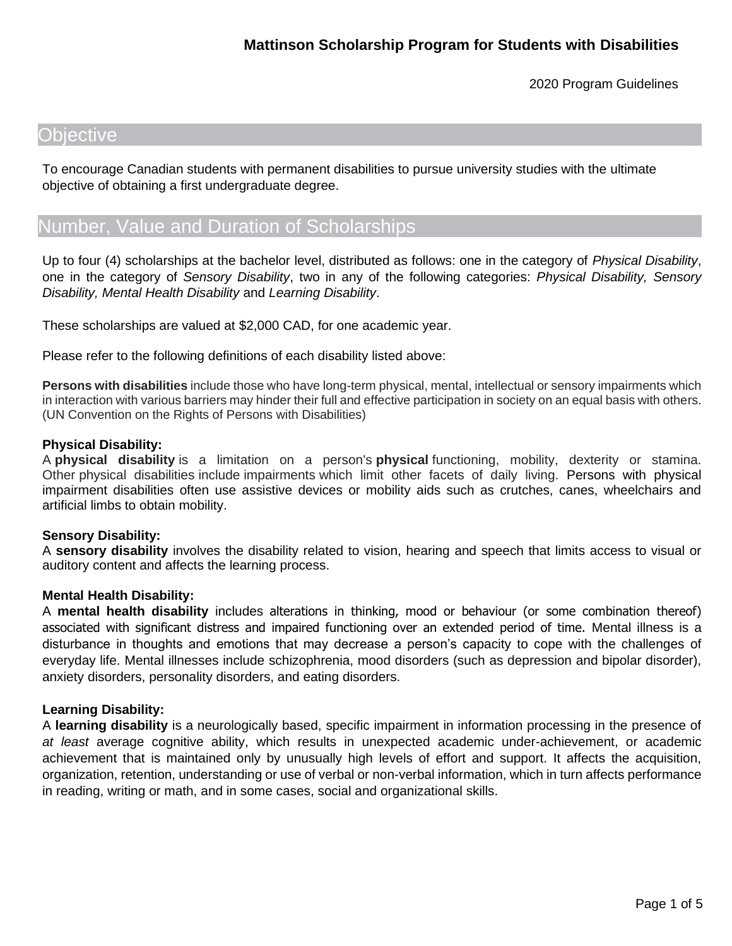## **Objective**

To encourage Canadian students with permanent disabilities to pursue university studies with the ultimate objective of obtaining a first undergraduate degree.

# Number, Value and Duration of Scholarships

Up to four (4) scholarships at the bachelor level, distributed as follows: one in the category of *Physical Disability*, one in the category of *Sensory Disability*, two in any of the following categories: *Physical Disability, Sensory Disability, Mental Health Disability* and *Learning Disability*.

These scholarships are valued at \$2,000 CAD, for one academic year.

Please refer to the following definitions of each disability listed above:

**Persons with disabilities** include those who have long-term physical, mental, intellectual or sensory impairments which in interaction with various barriers may hinder their full and effective participation in society on an equal basis with others. (UN Convention on the Rights of Persons with Disabilities)

#### **Physical Disability:**

A **physical disability** is a limitation on a person's **physical** functioning, mobility, dexterity or stamina. Other physical disabilities include impairments which limit other facets of daily living. Persons with physical impairment disabilities often use assistive devices or mobility aids such as crutches, canes, wheelchairs and artificial limbs to obtain mobility.

### **Sensory Disability:**

A **sensory disability** involves the disability related to vision, hearing and speech that limits access to visual or auditory content and affects the learning process.

### **Mental Health Disability:**

A **mental health disability** includes alterations in thinking, mood or behaviour (or some combination thereof) associated with significant distress and impaired functioning over an extended period of time. Mental illness is a disturbance in thoughts and emotions that may decrease a person's capacity to cope with the challenges of everyday life. Mental illnesses include schizophrenia, mood disorders (such as depression and bipolar disorder), anxiety disorders, personality disorders, and eating disorders.

### **Learning Disability:**

A **learning disability** is a neurologically based, specific impairment in information processing in the presence of *at least* average cognitive ability, which results in unexpected academic under-achievement, or academic achievement that is maintained only by unusually high levels of effort and support. It affects the acquisition, organization, retention, understanding or use of verbal or non-verbal information, which in turn affects performance in reading, writing or math, and in some cases, social and organizational skills.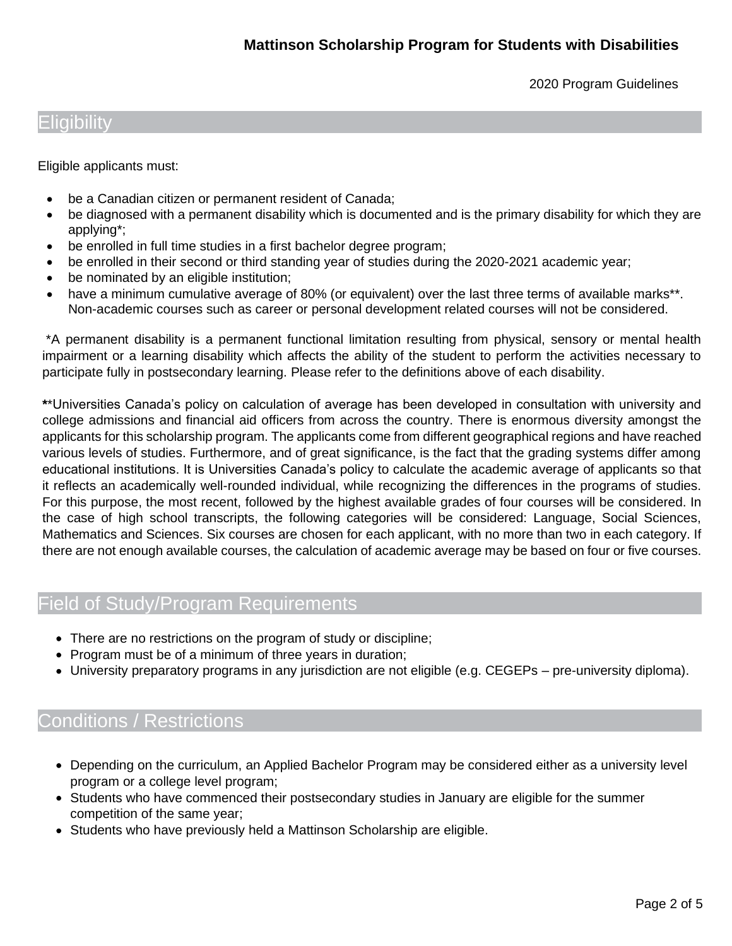## Eligibility

Eligible applicants must:

- be a Canadian citizen or permanent resident of Canada;
- be diagnosed with a permanent disability which is documented and is the primary disability for which they are applying\*;
- be enrolled in full time studies in a first bachelor degree program;
- be enrolled in their second or third standing year of studies during the 2020-2021 academic year;
- be nominated by an eligible institution;
- have a minimum cumulative average of 80% (or equivalent) over the last three terms of available marks<sup>\*\*</sup>. Non-academic courses such as career or personal development related courses will not be considered.

\*A permanent disability is a permanent functional limitation resulting from physical, sensory or mental health impairment or a learning disability which affects the ability of the student to perform the activities necessary to participate fully in postsecondary learning. Please refer to the definitions above of each disability.

**\***\*Universities Canada's policy on calculation of average has been developed in consultation with university and college admissions and financial aid officers from across the country. There is enormous diversity amongst the applicants for this scholarship program. The applicants come from different geographical regions and have reached various levels of studies. Furthermore, and of great significance, is the fact that the grading systems differ among educational institutions. It is Universities Canada's policy to calculate the academic average of applicants so that it reflects an academically well-rounded individual, while recognizing the differences in the programs of studies. For this purpose, the most recent, followed by the highest available grades of four courses will be considered. In the case of high school transcripts, the following categories will be considered: Language, Social Sciences, Mathematics and Sciences. Six courses are chosen for each applicant, with no more than two in each category. If there are not enough available courses, the calculation of academic average may be based on four or five courses.

# Field of Study/Program Requirements

- There are no restrictions on the program of study or discipline;
- Program must be of a minimum of three years in duration;
- University preparatory programs in any jurisdiction are not eligible (e.g. CEGEPs pre-university diploma).

# Conditions / Restrictions

- Depending on the curriculum, an Applied Bachelor Program may be considered either as a university level program or a college level program;
- Students who have commenced their postsecondary studies in January are eligible for the summer competition of the same year;
- Students who have previously held a Mattinson Scholarship are eligible.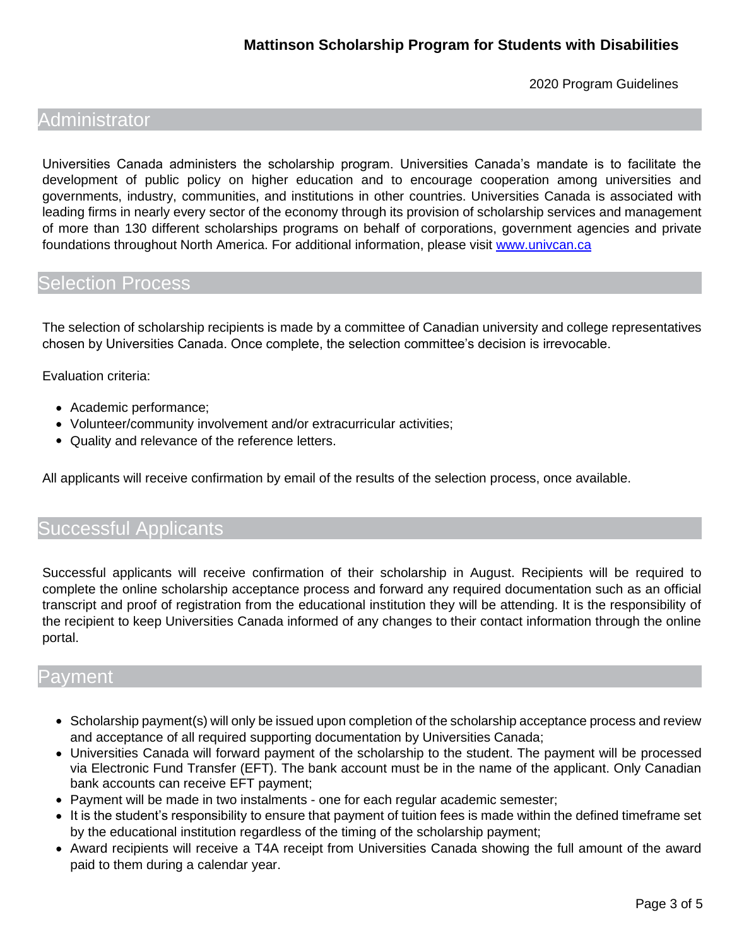## Administrator

Universities Canada administers the scholarship program. Universities Canada's mandate is to facilitate the development of public policy on higher education and to encourage cooperation among universities and governments, industry, communities, and institutions in other countries. Universities Canada is associated with leading firms in nearly every sector of the economy through its provision of scholarship services and management of more than 130 different scholarships programs on behalf of corporations, government agencies and private foundations throughout North America. For additional information, please visit [www.univcan.ca](http://www.univcan.ca/)

## Selection Process

The selection of scholarship recipients is made by a committee of Canadian university and college representatives chosen by Universities Canada. Once complete, the selection committee's decision is irrevocable.

Evaluation criteria:

- Academic performance;
- Volunteer/community involvement and/or extracurricular activities;
- Quality and relevance of the reference letters.

All applicants will receive confirmation by email of the results of the selection process, once available.

## Successful Applicants

Successful applicants will receive confirmation of their scholarship in August. Recipients will be required to complete the online scholarship acceptance process and forward any required documentation such as an official transcript and proof of registration from the educational institution they will be attending. It is the responsibility of the recipient to keep Universities Canada informed of any changes to their contact information through the online portal.

## Payment

- Scholarship payment(s) will only be issued upon completion of the scholarship acceptance process and review and acceptance of all required supporting documentation by Universities Canada;
- Universities Canada will forward payment of the scholarship to the student. The payment will be processed via Electronic Fund Transfer (EFT). The bank account must be in the name of the applicant. Only Canadian bank accounts can receive EFT payment;
- Payment will be made in two instalments one for each regular academic semester;
- It is the student's responsibility to ensure that payment of tuition fees is made within the defined timeframe set by the educational institution regardless of the timing of the scholarship payment;
- Award recipients will receive a T4A receipt from Universities Canada showing the full amount of the award paid to them during a calendar year.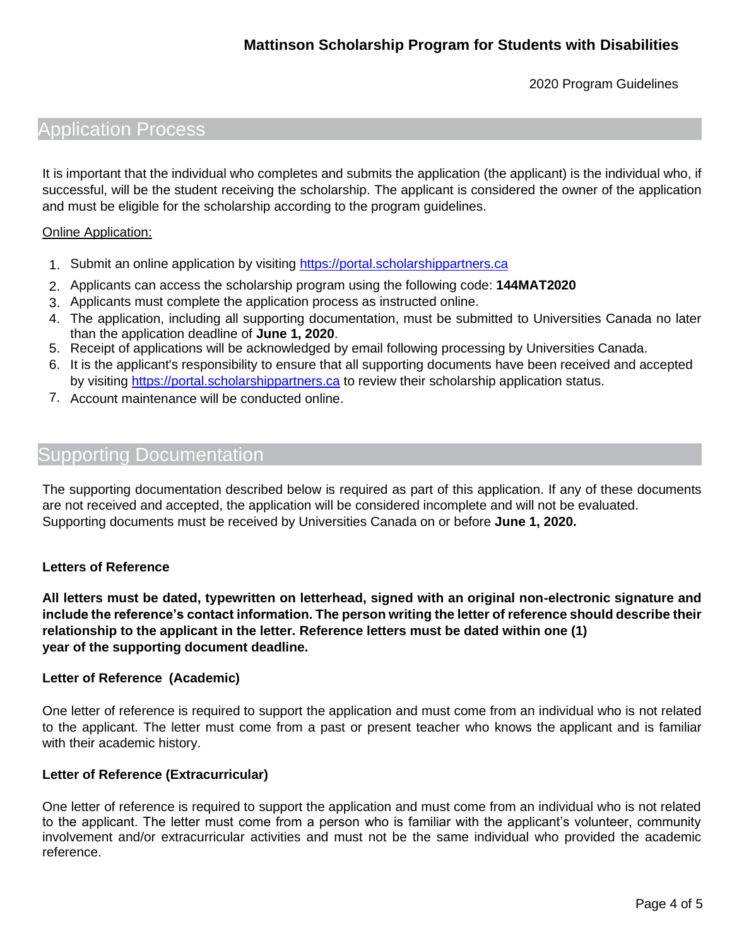## Application Process

It is important that the individual who completes and submits the application (the applicant) is the individual who, if successful, will be the student receiving the scholarship. The applicant is considered the owner of the application and must be eligible for the scholarship according to the program guidelines.

#### Online Application:

- 1. Submit an online application by visiting [https://portal.scholarshippartners.ca](https://portal.scholarshippartners.ca/)
- 2. Applicants can access the scholarship program using the following code: **144MAT2020**
- 3. Applicants must complete the application process as instructed online.
- 4. The application, including all supporting documentation, must be submitted to Universities Canada no later than the application deadline of **June 1, 2020**.
- 5. Receipt of applications will be acknowledged by email following processing by Universities Canada.
- 6. It is the applicant's responsibility to ensure that all supporting documents have been received and accepted by visiting [https://portal.scholarshippartners.ca](https://portal.scholarshippartners.ca/) to review their scholarship application status.
- 7. Account maintenance will be conducted online.

## Supporting Documentation

The supporting documentation described below is required as part of this application. If any of these documents are not received and accepted, the application will be considered incomplete and will not be evaluated. Supporting documents must be received by Universities Canada on or before **June 1, 2020.**

### **Letters of Reference**

**All letters must be dated, typewritten on letterhead, signed with an original non-electronic signature and include the reference's contact information. The person writing the letter of reference should describe their relationship to the applicant in the letter. Reference letters must be dated within one (1) year of the supporting document deadline.** 

#### **Letter of Reference (Academic)**

One letter of reference is required to support the application and must come from an individual who is not related to the applicant. The letter must come from a past or present teacher who knows the applicant and is familiar with their academic history.

### **Letter of Reference (Extracurricular)**

One letter of reference is required to support the application and must come from an individual who is not related to the applicant. The letter must come from a person who is familiar with the applicant's volunteer, community involvement and/or extracurricular activities and must not be the same individual who provided the academic reference.